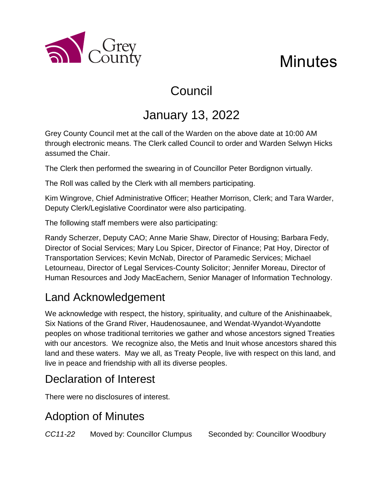

# Council

# January 13, 2022

Grey County Council met at the call of the Warden on the above date at 10:00 AM through electronic means. The Clerk called Council to order and Warden Selwyn Hicks assumed the Chair.

The Clerk then performed the swearing in of Councillor Peter Bordignon virtually.

The Roll was called by the Clerk with all members participating.

Kim Wingrove, Chief Administrative Officer; Heather Morrison, Clerk; and Tara Warder, Deputy Clerk/Legislative Coordinator were also participating.

The following staff members were also participating:

Randy Scherzer, Deputy CAO; Anne Marie Shaw, Director of Housing; Barbara Fedy, Director of Social Services; Mary Lou Spicer, Director of Finance; Pat Hoy, Director of Transportation Services; Kevin McNab, Director of Paramedic Services; Michael Letourneau, Director of Legal Services-County Solicitor; Jennifer Moreau, Director of Human Resources and Jody MacEachern, Senior Manager of Information Technology.

## Land Acknowledgement

a County

We acknowledge with respect, the history, spirituality, and culture of the Anishinaabek, Six Nations of the Grand River, Haudenosaunee, and Wendat-Wyandot-Wyandotte peoples on whose traditional territories we gather and whose ancestors signed Treaties with our ancestors. We recognize also, the Metis and Inuit whose ancestors shared this land and these waters. May we all, as Treaty People, live with respect on this land, and live in peace and friendship with all its diverse peoples.

### Declaration of Interest

There were no disclosures of interest.

## Adoption of Minutes

*CC11-22* Moved by: Councillor Clumpus Seconded by: Councillor Woodbury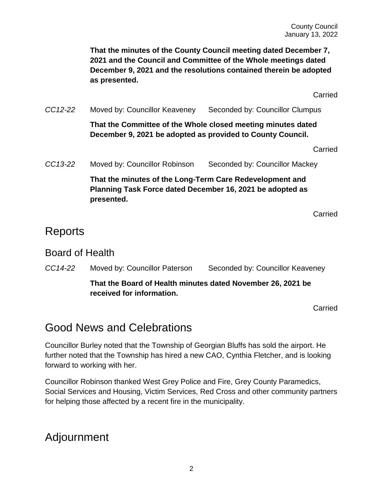**That the minutes of the County Council meeting dated December 7, 2021 and the Council and Committee of the Whole meetings dated December 9, 2021 and the resolutions contained therein be adopted as presented.**

Carried

*CC12-22* Moved by: Councillor Keaveney Seconded by: Councillor Clumpus

**That the Committee of the Whole closed meeting minutes dated December 9, 2021 be adopted as provided to County Council.**

Carried

*CC13-22* Moved by: Councillor Robinson Seconded by: Councillor Mackey

**That the minutes of the Long-Term Care Redevelopment and Planning Task Force dated December 16, 2021 be adopted as presented.**

Carried

#### Reports

#### Board of Health

*CC14-22* Moved by: Councillor Paterson Seconded by: Councillor Keaveney

**That the Board of Health minutes dated November 26, 2021 be received for information.**

Carried

### Good News and Celebrations

Councillor Burley noted that the Township of Georgian Bluffs has sold the airport. He further noted that the Township has hired a new CAO, Cynthia Fletcher, and is looking forward to working with her.

Councillor Robinson thanked West Grey Police and Fire, Grey County Paramedics, Social Services and Housing, Victim Services, Red Cross and other community partners for helping those affected by a recent fire in the municipality.

#### Adjournment